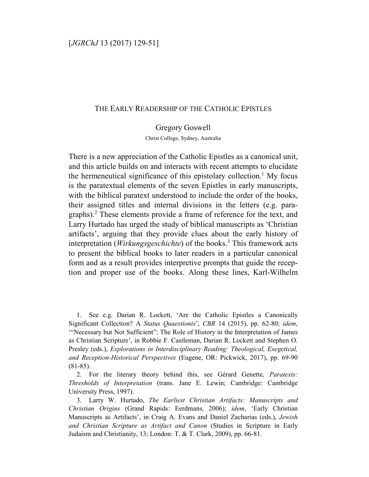## THE EARLY READERSHIP OF THE CATHOLIC EPISTLES

Gregory Goswell

Christ College, Sydney, Australia

There is a new appreciation of the Catholic Epistles as a canonical unit, and this article builds on and interacts with recent attempts to elucidate the hermeneutical significance of this epistolary collection.<sup>1</sup> My focus is the paratextual elements of the seven Epistles in early manuscripts, with the biblical paratext understood to include the order of the books, their assigned titles and internal divisions in the letters (e.g. paragraphs).<sup>2</sup> These elements provide a frame of reference for the text, and Larry Hurtado has urged the study of biblical manuscripts as 'Christian artifacts', arguing that they provide clues about the early history of interpretation (*Wirkungsgeschichte*) of the books.<sup>3</sup> This framework acts to present the biblical books to later readers in a particular canonical form and as a result provides interpretive prompts that guide the reception and proper use of the books. Along these lines, Karl-Wilhelm

1. See e.g. Darian R. Lockett, 'Are the Catholic Epistles a Canonically Significant Collection? A *Status Quaestionis*', *CBR* 14 (2015), pp. 62-80; *idem*, '"Necessary but Not Sufficient": The Role of History in the Interpretation of James as Christian Scripture', in Robbie F. Castleman, Darian R. Lockett and Stephen O. Presley (eds.), *Explorations in Interdisciplinary Reading: Theological, Exegetical, and Reception-Historical Perspectives* (Eugene, OR: Pickwick, 2017), pp. 69-90 (81-85).

2. For the literary theory behind this, see Gérard Genette, *Paratexts: Thresholds of Interpretation* (trans. Jane E. Lewin; Cambridge: Cambridge University Press, 1997).

3. Larry W. Hurtado, *The Earliest Christian Artifacts: Manuscripts and Christian Origins* (Grand Rapids: Eerdmans, 2006); *idem*, 'Early Christian Manuscripts as Artifacts', in Craig A. Evans and Daniel Zacharias (eds.), *Jewish and Christian Scripture as Artifact and Canon* (Studies in Scripture in Early Judaism and Christianity, 13; London: T. & T. Clark, 2009), pp. 66-81.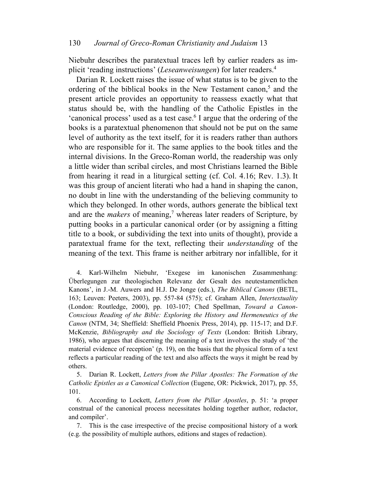Niebuhr describes the paratextual traces left by earlier readers as implicit 'reading instructions' (*Leseanweisungen*) for later readers.<sup>4</sup>

Darian R. Lockett raises the issue of what status is to be given to the ordering of the biblical books in the New Testament canon,<sup>5</sup> and the present article provides an opportunity to reassess exactly what that status should be, with the handling of the Catholic Epistles in the 'canonical process' used as a test case.<sup>6</sup> I argue that the ordering of the books is a paratextual phenomenon that should not be put on the same level of authority as the text itself, for it is readers rather than authors who are responsible for it. The same applies to the book titles and the internal divisions. In the Greco-Roman world, the readership was only a little wider than scribal circles, and most Christians learned the Bible from hearing it read in a liturgical setting (cf. Col. 4.16; Rev. 1.3). It was this group of ancient literati who had a hand in shaping the canon, no doubt in line with the understanding of the believing community to which they belonged. In other words, authors generate the biblical text and are the *makers* of meaning,<sup>7</sup> whereas later readers of Scripture, by putting books in a particular canonical order (or by assigning a fitting title to a book, or subdividing the text into units of thought), provide a paratextual frame for the text, reflecting their *understanding* of the meaning of the text. This frame is neither arbitrary nor infallible, for it

4. Karl-Wilhelm Niebuhr, 'Exegese im kanonischen Zusammenhang: Überlegungen zur theologischen Relevanz der Gesalt des neutestamentlichen Kanons', in J.-M. Auwers and H.J. De Jonge (eds.), *The Biblical Canons* (BETL, 163; Leuven: Peeters, 2003), pp. 557-84 (575); cf. Graham Allen, *Intertextuality*  (London: Routledge, 2000), pp. 103-107; Ched Spellman, *Toward a Canon-Conscious Reading of the Bible: Exploring the History and Hermeneutics of the Canon* (NTM, 34; Sheffield: Sheffield Phoenix Press, 2014), pp. 115-17; and D.F. McKenzie, *Bibliography and the Sociology of Texts* (London: British Library, 1986), who argues that discerning the meaning of a text involves the study of 'the material evidence of reception' (p. 19), on the basis that the physical form of a text reflects a particular reading of the text and also affects the ways it might be read by others.

5. Darian R. Lockett, *Letters from the Pillar Apostles: The Formation of the Catholic Epistles as a Canonical Collection* (Eugene, OR: Pickwick, 2017), pp. 55, 101.

6. According to Lockett, *Letters from the Pillar Apostles*, p. 51: 'a proper construal of the canonical process necessitates holding together author, redactor, and compiler'.

7. This is the case irrespective of the precise compositional history of a work (e.g. the possibility of multiple authors, editions and stages of redaction).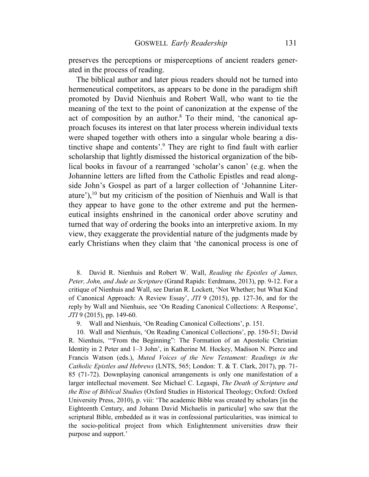preserves the perceptions or misperceptions of ancient readers generated in the process of reading.

The biblical author and later pious readers should not be turned into hermeneutical competitors, as appears to be done in the paradigm shift promoted by David Nienhuis and Robert Wall, who want to tie the meaning of the text to the point of canonization at the expense of the act of composition by an author.<sup>8</sup> To their mind, 'the canonical approach focuses its interest on that later process wherein individual texts were shaped together with others into a singular whole bearing a distinctive shape and contents'.<sup>9</sup> They are right to find fault with earlier scholarship that lightly dismissed the historical organization of the biblical books in favour of a rearranged 'scholar's canon' (e.g. when the Johannine letters are lifted from the Catholic Epistles and read alongside John's Gospel as part of a larger collection of 'Johannine Literature'), $^{10}$  but my criticism of the position of Nienhuis and Wall is that they appear to have gone to the other extreme and put the hermeneutical insights enshrined in the canonical order above scrutiny and turned that way of ordering the books into an interpretive axiom. In my view, they exaggerate the providential nature of the judgments made by early Christians when they claim that 'the canonical process is one of

8. David R. Nienhuis and Robert W. Wall, *Reading the Epistles of James, Peter, John, and Jude as Scripture* (Grand Rapids: Eerdmans, 2013), pp. 9-12. For a critique of Nienhuis and Wall, see Darian R. Lockett, 'Not Whether; but What Kind of Canonical Approach: A Review Essay', *JTI* 9 (2015), pp. 127-36, and for the reply by Wall and Nienhuis, see 'On Reading Canonical Collections: A Response', *JTI* 9 (2015), pp. 149-60.

9. Wall and Nienhuis, 'On Reading Canonical Collections', p. 151.

10. Wall and Nienhuis, 'On Reading Canonical Collections', pp. 150-51; David R. Nienhuis, '"From the Beginning": The Formation of an Apostolic Christian Identity in 2 Peter and 1–3 John', in Katherine M. Hockey, Madison N. Pierce and Francis Watson (eds.), *Muted Voices of the New Testament: Readings in the Catholic Epistles and Hebrews* (LNTS, 565; London: T. & T. Clark, 2017), pp. 71- 85 (71-72). Downplaying canonical arrangements is only one manifestation of a larger intellectual movement. See Michael C. Legaspi, *The Death of Scripture and the Rise of Biblical Studies* (Oxford Studies in Historical Theology; Oxford: Oxford University Press, 2010), p. viii: 'The academic Bible was created by scholars [in the Eighteenth Century, and Johann David Michaelis in particular] who saw that the scriptural Bible, embedded as it was in confessional particularities, was inimical to the socio-political project from which Enlightenment universities draw their purpose and support.'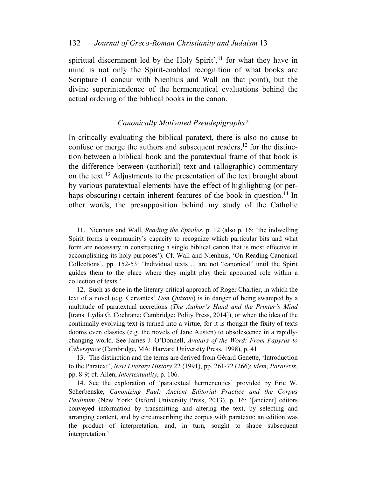spiritual discernment led by the Holy Spirit', $<sup>11</sup>$  for what they have in</sup> mind is not only the Spirit-enabled recognition of what books are Scripture (I concur with Nienhuis and Wall on that point), but the divine superintendence of the hermeneutical evaluations behind the actual ordering of the biblical books in the canon.

# *Canonically Motivated Pseudepigraphs?*

In critically evaluating the biblical paratext, there is also no cause to confuse or merge the authors and subsequent readers, 12 for the distinction between a biblical book and the paratextual frame of that book is the difference between (authorial) text and (allographic) commentary on the text.<sup>13</sup> Adjustments to the presentation of the text brought about by various paratextual elements have the effect of highlighting (or perhaps obscuring) certain inherent features of the book in question.<sup>14</sup> In other words, the presupposition behind my study of the Catholic

11. Nienhuis and Wall, *Reading the Epistles*, p. 12 (also p. 16: 'the indwelling Spirit forms a community's capacity to recognize which particular bits and what form are necessary in constructing a single biblical canon that is most effective in accomplishing its holy purposes'). Cf. Wall and Nienhuis, 'On Reading Canonical Collections', pp. 152-53: 'Individual texts ... are not "canonical" until the Spirit guides them to the place where they might play their appointed role within a collection of texts.'

12. Such as done in the literary-critical approach of Roger Chartier, in which the text of a novel (e.g. Cervantes' *Don Quixote*) is in danger of being swamped by a multitude of paratextual accretions (*The Author's Hand and the Printer's Mind* [trans. Lydia G. Cochrane; Cambridge: Polity Press, 2014]), or when the idea of the continually evolving text is turned into a virtue, for it is thought the fixity of texts dooms even classics (e.g. the novels of Jane Austen) to obsolescence in a rapidlychanging world. See James J. O'Donnell, *Avatars of the Word: From Papyrus to Cyberspace* (Cambridge, MA: Harvard University Press, 1998), p. 41.

13. The distinction and the terms are derived from Gérard Genette, 'Introduction to the Paratext', *New Literary History* 22 (1991), pp. 261-72 (266); *idem*, *Paratexts*, pp. 8-9; cf. Allen, *Intertextuality*, p. 106.

14. See the exploration of 'paratextual hermeneutics' provided by Eric W. Scherbenske, *Canonizing Paul: Ancient Editorial Practice and the Corpus Paulinum* (New York: Oxford University Press, 2013), p. 16: '[ancient] editors conveyed information by transmitting and altering the text, by selecting and arranging content, and by circumscribing the corpus with paratexts: an edition was the product of interpretation, and, in turn, sought to shape subsequent interpretation.'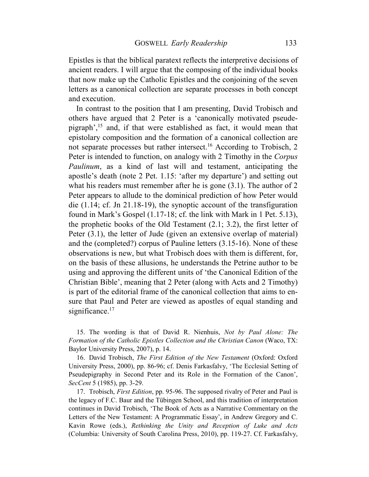Epistles is that the biblical paratext reflects the interpretive decisions of ancient readers. I will argue that the composing of the individual books that now make up the Catholic Epistles and the conjoining of the seven letters as a canonical collection are separate processes in both concept and execution.

In contrast to the position that I am presenting, David Trobisch and others have argued that 2 Peter is a 'canonically motivated pseudepigraph',<sup>15</sup> and, if that were established as fact, it would mean that epistolary composition and the formation of a canonical collection are not separate processes but rather intersect.<sup>16</sup> According to Trobisch, 2 Peter is intended to function, on analogy with 2 Timothy in the *Corpus Paulinum*, as a kind of last will and testament, anticipating the apostle's death (note 2 Pet. 1.15: 'after my departure') and setting out what his readers must remember after he is gone  $(3.1)$ . The author of 2 Peter appears to allude to the dominical prediction of how Peter would die (1.14; cf. Jn 21.18-19), the synoptic account of the transfiguration found in Mark's Gospel (1.17-18; cf. the link with Mark in 1 Pet. 5.13), the prophetic books of the Old Testament (2.1; 3.2), the first letter of Peter (3.1), the letter of Jude (given an extensive overlap of material) and the (completed?) corpus of Pauline letters (3.15-16). None of these observations is new, but what Trobisch does with them is different, for, on the basis of these allusions, he understands the Petrine author to be using and approving the different units of 'the Canonical Edition of the Christian Bible', meaning that 2 Peter (along with Acts and 2 Timothy) is part of the editorial frame of the canonical collection that aims to ensure that Paul and Peter are viewed as apostles of equal standing and significance. $17$ 

15. The wording is that of David R. Nienhuis, *Not by Paul Alone: The Formation of the Catholic Epistles Collection and the Christian Canon* (Waco, TX: Baylor University Press, 2007), p. 14.

16. David Trobisch, *The First Edition of the New Testament* (Oxford: Oxford University Press, 2000), pp. 86-96; cf. Denis Farkasfalvy, 'The Ecclesial Setting of Pseudepigraphy in Second Peter and its Role in the Formation of the Canon', *SecCent* 5 (1985), pp. 3-29.

17. Trobisch, *First Edition*, pp. 95-96. The supposed rivalry of Peter and Paul is the legacy of F.C. Baur and the Tübingen School, and this tradition of interpretation continues in David Trobisch, 'The Book of Acts as a Narrative Commentary on the Letters of the New Testament: A Programmatic Essay', in Andrew Gregory and C. Kavin Rowe (eds.), *Rethinking the Unity and Reception of Luke and Acts* (Columbia: University of South Carolina Press, 2010), pp. 119-27. Cf. Farkasfalvy,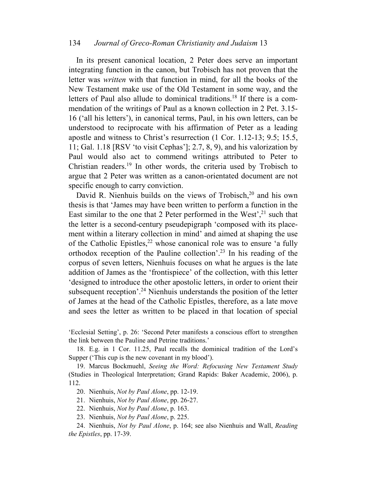#### 134 *Journal of Greco-Roman Christianity and Judaism* 13

In its present canonical location, 2 Peter does serve an important integrating function in the canon, but Trobisch has not proven that the letter was *written* with that function in mind, for all the books of the New Testament make use of the Old Testament in some way, and the letters of Paul also allude to dominical traditions.<sup>18</sup> If there is a commendation of the writings of Paul as a known collection in 2 Pet. 3.15- 16 ('all his letters'), in canonical terms, Paul, in his own letters, can be understood to reciprocate with his affirmation of Peter as a leading apostle and witness to Christ's resurrection (1 Cor. 1.12-13; 9.5; 15.5, 11; Gal. 1.18 [RSV 'to visit Cephas']; 2.7, 8, 9), and his valorization by Paul would also act to commend writings attributed to Peter to Christian readers.<sup>19</sup> In other words, the criteria used by Trobisch to argue that 2 Peter was written as a canon-orientated document are not specific enough to carry conviction.

David R. Nienhuis builds on the views of Trobisch,<sup>20</sup> and his own thesis is that 'James may have been written to perform a function in the East similar to the one that 2 Peter performed in the West', $2<sup>1</sup>$  such that the letter is a second-century pseudepigraph 'composed with its placement within a literary collection in mind' and aimed at shaping the use of the Catholic Epistles, $^{22}$  whose canonical role was to ensure 'a fully orthodox reception of the Pauline collection'.<sup>23</sup> In his reading of the corpus of seven letters, Nienhuis focuses on what he argues is the late addition of James as the 'frontispiece' of the collection, with this letter 'designed to introduce the other apostolic letters, in order to orient their subsequent reception'.<sup>24</sup> Nienhuis understands the position of the letter of James at the head of the Catholic Epistles, therefore, as a late move and sees the letter as written to be placed in that location of special

'Ecclesial Setting', p. 26: 'Second Peter manifests a conscious effort to strengthen the link between the Pauline and Petrine traditions.'

18. E.g. in 1 Cor. 11.25, Paul recalls the dominical tradition of the Lord's Supper ('This cup is the new covenant in my blood').

19. Marcus Bockmuehl, *Seeing the Word: Refocusing New Testament Study* (Studies in Theological Interpretation; Grand Rapids: Baker Academic, 2006), p. 112.

20. Nienhuis, *Not by Paul Alone*, pp. 12-19.

21. Nienhuis, *Not by Paul Alone*, pp. 26-27.

22. Nienhuis, *Not by Paul Alone*, p. 163.

23. Nienhuis, *Not by Paul Alone*, p. 225.

24. Nienhuis, *Not by Paul Alone*, p. 164; see also Nienhuis and Wall, *Reading the Epistles*, pp. 17-39.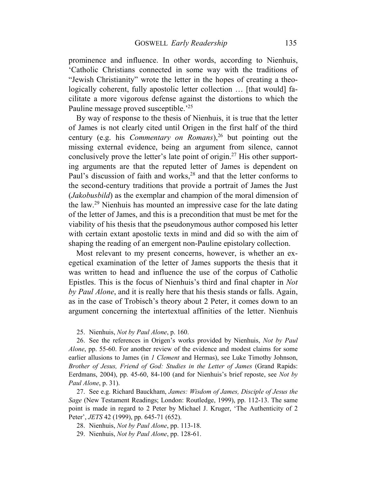prominence and influence. In other words, according to Nienhuis, 'Catholic Christians connected in some way with the traditions of "Jewish Christianity" wrote the letter in the hopes of creating a theologically coherent, fully apostolic letter collection ... [that would] facilitate a more vigorous defense against the distortions to which the Pauline message proved susceptible.<sup>'25</sup>

By way of response to the thesis of Nienhuis, it is true that the letter of James is not clearly cited until Origen in the first half of the third century (e.g. his *Commentary on Romans*), <sup>26</sup> but pointing out the missing external evidence, being an argument from silence, cannot conclusively prove the letter's late point of origin.<sup>27</sup> His other supporting arguments are that the reputed letter of James is dependent on Paul's discussion of faith and works,<sup>28</sup> and that the letter conforms to the second-century traditions that provide a portrait of James the Just (*Jakobusbild*) as the exemplar and champion of the moral dimension of the law.<sup>29</sup> Nienhuis has mounted an impressive case for the late dating of the letter of James, and this is a precondition that must be met for the viability of his thesis that the pseudonymous author composed his letter with certain extant apostolic texts in mind and did so with the aim of shaping the reading of an emergent non-Pauline epistolary collection.

Most relevant to my present concerns, however, is whether an exegetical examination of the letter of James supports the thesis that it was written to head and influence the use of the corpus of Catholic Epistles. This is the focus of Nienhuis's third and final chapter in *Not by Paul Alone*, and it is really here that his thesis stands or falls. Again, as in the case of Trobisch's theory about 2 Peter, it comes down to an argument concerning the intertextual affinities of the letter. Nienhuis

25. Nienhuis, *Not by Paul Alone*, p. 160.

26. See the references in Origen's works provided by Nienhuis, *Not by Paul Alone*, pp. 55-60. For another review of the evidence and modest claims for some earlier allusions to James (in *1 Clement* and Hermas), see Luke Timothy Johnson, *Brother of Jesus, Friend of God: Studies in the Letter of James* (Grand Rapids: Eerdmans, 2004), pp. 45-60, 84-100 (and for Nienhuis's brief reposte, see *Not by Paul Alone*, p. 31).

27. See e.g. Richard Bauckham, *James: Wisdom of James, Disciple of Jesus the Sage* (New Testament Readings; London: Routledge, 1999), pp. 112-13. The same point is made in regard to 2 Peter by Michael J. Kruger, 'The Authenticity of 2 Peter', *JETS* 42 (1999), pp. 645-71 (652).

28. Nienhuis, *Not by Paul Alone*, pp. 113-18.

29. Nienhuis, *Not by Paul Alone*, pp. 128-61.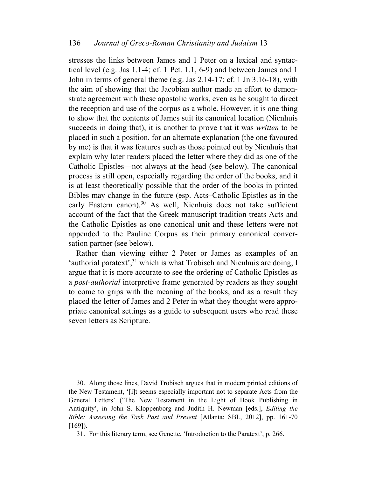stresses the links between James and 1 Peter on a lexical and syntactical level (e.g. Jas 1.1-4; cf. 1 Pet. 1.1, 6-9) and between James and 1 John in terms of general theme (e.g. Jas 2.14-17; cf. 1 Jn 3.16-18), with the aim of showing that the Jacobian author made an effort to demonstrate agreement with these apostolic works, even as he sought to direct the reception and use of the corpus as a whole. However, it is one thing to show that the contents of James suit its canonical location (Nienhuis succeeds in doing that), it is another to prove that it was *written* to be placed in such a position, for an alternate explanation (the one favoured by me) is that it was features such as those pointed out by Nienhuis that explain why later readers placed the letter where they did as one of the Catholic Epistles—not always at the head (see below). The canonical process is still open, especially regarding the order of the books, and it is at least theoretically possible that the order of the books in printed Bibles may change in the future (esp. Acts–Catholic Epistles as in the early Eastern canon).<sup>30</sup> As well, Nienhuis does not take sufficient account of the fact that the Greek manuscript tradition treats Acts and the Catholic Epistles as one canonical unit and these letters were not appended to the Pauline Corpus as their primary canonical conversation partner (see below).

Rather than viewing either 2 Peter or James as examples of an 'authorial paratext',  $31$ <sup>1</sup> which is what Trobisch and Nienhuis are doing, I argue that it is more accurate to see the ordering of Catholic Epistles as a *post-authorial* interpretive frame generated by readers as they sought to come to grips with the meaning of the books, and as a result they placed the letter of James and 2 Peter in what they thought were appropriate canonical settings as a guide to subsequent users who read these seven letters as Scripture.

30. Along those lines, David Trobisch argues that in modern printed editions of the New Testament, '[i]t seems especially important not to separate Acts from the General Letters' ('The New Testament in the Light of Book Publishing in Antiquity', in John S. Kloppenborg and Judith H. Newman [eds.], *Editing the Bible: Assessing the Task Past and Present* [Atlanta: SBL, 2012], pp. 161-70 [169]).

31. For this literary term, see Genette, 'Introduction to the Paratext', p. 266.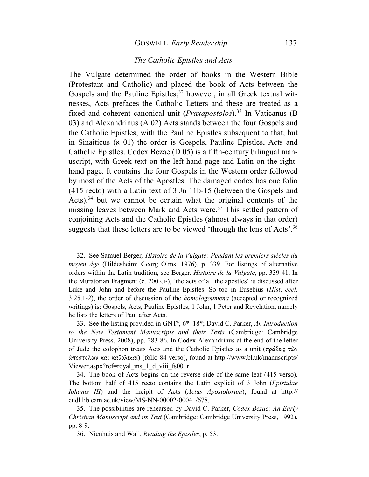### GOSWELL *Early Readership* 137

# *The Catholic Epistles and Acts*

The Vulgate determined the order of books in the Western Bible (Protestant and Catholic) and placed the book of Acts between the Gospels and the Pauline Epistles;<sup>32</sup> however, in all Greek textual witnesses, Acts prefaces the Catholic Letters and these are treated as a fixed and coherent canonical unit (*Praxapostolos*).<sup>33</sup> In Vaticanus (B 03) and Alexandrinus (A 02) Acts stands between the four Gospels and the Catholic Epistles, with the Pauline Epistles subsequent to that, but in Sinaiticus ( $\mathbf{x}$  01) the order is Gospels, Pauline Epistles, Acts and Catholic Epistles. Codex Bezae (D 05) is a fifth-century bilingual manuscript, with Greek text on the left-hand page and Latin on the righthand page. It contains the four Gospels in the Western order followed by most of the Acts of the Apostles. The damaged codex has one folio (415 recto) with a Latin text of 3 Jn 11b-15 (between the Gospels and Acts), $34$  but we cannot be certain what the original contents of the missing leaves between Mark and Acts were.<sup>35</sup> This settled pattern of conjoining Acts and the Catholic Epistles (almost always in that order) suggests that these letters are to be viewed 'through the lens of Acts'.<sup>36</sup>

32. See Samuel Berger*, Histoire de la Vulgate: Pendant les premiers siècles du moyen âge* (Hildesheim: Georg Olms, 1976), p. 339. For listings of alternative orders within the Latin tradition, see Berger*, Histoire de la Vulgate*, pp. 339-41. In the Muratorian Fragment (c. 200 CE), 'the acts of all the apostles' is discussed after Luke and John and before the Pauline Epistles. So too in Eusebius (*Hist*. *eccl.* 3.25.1-2), the order of discussion of the *homologoumena* (accepted or recognized writings) is: Gospels, Acts, Pauline Epistles, 1 John, 1 Peter and Revelation, namely he lists the letters of Paul after Acts.

33. See the listing provided in GNT<sup>4</sup> , 6\*–18\*; David C. Parker, *An Introduction to the New Testament Manuscripts and their Texts* (Cambridge: Cambridge University Press, 2008), pp. 283-86*.* In Codex Alexandrinus at the end of the letter of Jude the colophon treats Acts and the Catholic Epistles as a unit (πράξεις τῶν ἀποστόλων καὶ καθολικαί) (folio 84 verso), found at http://www.bl.uk/manuscripts/ Viewer.aspx?ref=royal\_ms\_1\_d\_viii\_fs001r.

34. The book of Acts begins on the reverse side of the same leaf (415 verso). The bottom half of 415 recto contains the Latin explicit of 3 John (*Epistulae Iohanis III*) and the incipit of Acts (*Actus Apostolorum*); found at http:// cudl.lib.cam.ac.uk/view/MS-NN-00002-00041/678.

35. The possibilities are rehearsed by David C. Parker, *Codex Bezae: An Early Christian Manuscript and its Text* (Cambridge: Cambridge University Press, 1992), pp. 8-9.

36. Nienhuis and Wall, *Reading the Epistles*, p. 53.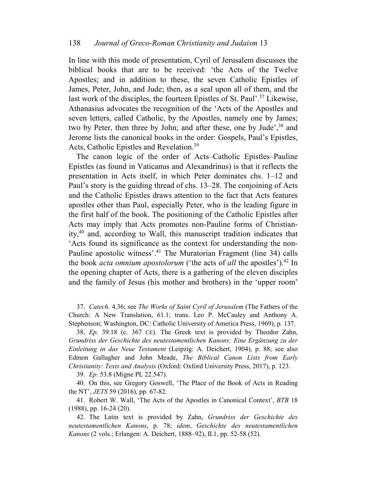## 138 *Journal of Greco-Roman Christianity and Judaism* 13

In line with this mode of presentation, Cyril of Jerusalem discusses the biblical books that are to be received: 'the Acts of the Twelve Apostles; and in addition to these, the seven Catholic Epistles of James, Peter, John, and Jude; then, as a seal upon all of them, and the last work of the disciples, the fourteen Epistles of St. Paul'.<sup>37</sup> Likewise, Athanasius advocates the recognition of the 'Acts of the Apostles and seven letters, called Catholic, by the Apostles, namely one by James; two by Peter, then three by John; and after these, one by Jude',<sup>38</sup> and Jerome lists the canonical books in the order: Gospels, Paul's Epistles, Acts, Catholic Epistles and Revelation.<sup>39</sup>

The canon logic of the order of Acts–Catholic Epistles–Pauline Epistles (as found in Vaticanus and Alexandrinus) is that it reflects the presentation in Acts itself, in which Peter dominates chs. 1–12 and Paul's story is the guiding thread of chs. 13–28. The conjoining of Acts and the Catholic Epistles draws attention to the fact that Acts features apostles other than Paul, especially Peter, who is the leading figure in the first half of the book. The positioning of the Catholic Epistles after Acts may imply that Acts promotes non-Pauline forms of Christianity,<sup>40</sup> and, according to Wall, this manuscript tradition indicates that 'Acts found its significance as the context for understanding the non-Pauline apostolic witness'.<sup>41</sup> The Muratorian Fragment (line 34) calls the book *acta omnium apostolorum* ('the acts of *all* the apostles').<sup>42</sup> In the opening chapter of Acts, there is a gathering of the eleven disciples and the family of Jesus (his mother and brothers) in the 'upper room'

37. *Catech*. 4.36; see *The Works of Saint Cyril of Jerusalem* (The Fathers of the Church: A New Translation, 61.1; trans. Leo P. McCauley and Anthony A. Stephenson; Washington, DC: Catholic University of America Press, 1969), p. 137.

38. *Ep*. 39.18 (c. 367 CE). The Greek text is provided by Theodor Zahn, *Grundriss der Geschichte des neutestamentlichen Kanons: Eine Ergänzung zu der Einleitung in das Neue Testament* (Leipzig: A. Deichert, 1904), p. 88; see also Edmon Gallagher and John Meade, *The Biblical Canon Lists from Early Christianity: Texts and Analysis* (Oxford: Oxford University Press, 2017), p. 123.

39. *Ep.* 53.8 (Migne PL 22.547).

40. On this, see Gregory Goswell, 'The Place of the Book of Acts in Reading the NT', *JETS* 59 (2016), pp. 67-82.

41. Robert W. Wall, 'The Acts of the Apostles in Canonical Context', *BTB* 18 (1988), pp. 16-24 (20).

42. The Latin text is provided by Zahn, *Grundriss der Geschichte des neutestamentlichen Kanons*, p. 78; *idem*, *Geschichte des neutestamentlichen Kanons* (2 vols.; Erlangen: A. Deichert, 1888–92), II.1, pp. 52-58 (52).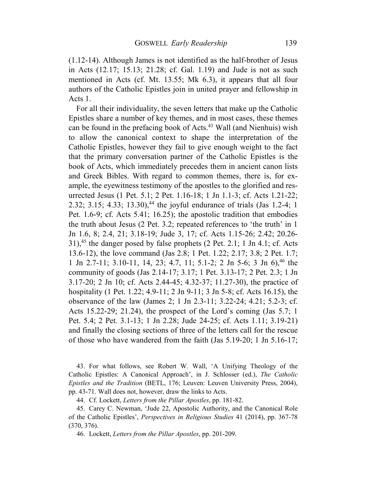(1.12-14). Although James is not identified as the half-brother of Jesus in Acts (12.17; 15.13; 21.28; cf. Gal. 1.19) and Jude is not as such mentioned in Acts (cf. Mt. 13.55; Mk 6.3), it appears that all four authors of the Catholic Epistles join in united prayer and fellowship in Acts 1.

For all their individuality, the seven letters that make up the Catholic Epistles share a number of key themes, and in most cases, these themes can be found in the prefacing book of Acts.<sup>43</sup> Wall (and Nienhuis) wish to allow the canonical context to shape the interpretation of the Catholic Epistles, however they fail to give enough weight to the fact that the primary conversation partner of the Catholic Epistles is the book of Acts, which immediately precedes them in ancient canon lists and Greek Bibles. With regard to common themes, there is, for example, the eyewitness testimony of the apostles to the glorified and resurrected Jesus (1 Pet. 5.1; 2 Pet. 1.16-18; 1 Jn 1.1-3; cf. Acts 1.21-22; 2.32; 3.15; 4.33; 13.30),<sup>44</sup> the joyful endurance of trials (Jas 1.2-4; 1 Pet. 1.6-9; cf. Acts 5.41; 16.25); the apostolic tradition that embodies the truth about Jesus (2 Pet. 3.2; repeated references to 'the truth' in 1 Jn 1.6, 8; 2.4, 21; 3.18-19; Jude 3, 17; cf. Acts 1.15-26; 2.42; 20.26- 31),<sup>45</sup> the danger posed by false prophets  $(2$  Pet. 2.1; 1 Jn 4.1; cf. Acts 13.6-12), the love command (Jas 2.8; 1 Pet. 1.22; 2.17; 3.8; 2 Pet. 1.7; 1 Jn 2.7-11; 3.10-11, 14, 23; 4.7, 11; 5.1-2; 2 Jn 5-6; 3 Jn 6), <sup>46</sup> the community of goods (Jas 2.14-17; 3.17; 1 Pet. 3.13-17; 2 Pet. 2.3; 1 Jn 3.17-20; 2 Jn 10; cf. Acts 2.44-45; 4.32-37; 11.27-30), the practice of hospitality (1 Pet. 1.22; 4.9-11; 2 Jn 9-11; 3 Jn 5-8; cf. Acts 16.15), the observance of the law (James 2; 1 Jn 2.3-11; 3.22-24; 4.21; 5.2-3; cf. Acts 15.22-29; 21.24), the prospect of the Lord's coming (Jas 5.7; 1 Pet. 5.4; 2 Pet. 3.1-13; 1 Jn 2.28; Jude 24-25; cf. Acts 1.11; 3.19-21) and finally the closing sections of three of the letters call for the rescue of those who have wandered from the faith (Jas 5.19-20; 1 Jn 5.16-17;

43. For what follows, see Robert W. Wall, 'A Unifying Theology of the Catholic Epistles: A Canonical Approach', in J. Schlosser (ed.), *The Catholic Epistles and the Tradition* (BETL, 176; Leuven: Leuven University Press, 2004), pp. 43-71. Wall does not, however, draw the links to Acts.

44. Cf. Lockett, *Letters from the Pillar Apostles*, pp. 181-82.

45. Carey C. Newman, 'Jude 22, Apostolic Authority, and the Canonical Role of the Catholic Epistles', *Perspectives in Religious Studies* 41 (2014), pp. 367-78 (370, 376).

46. Lockett, *Letters from the Pillar Apostles*, pp. 201-209.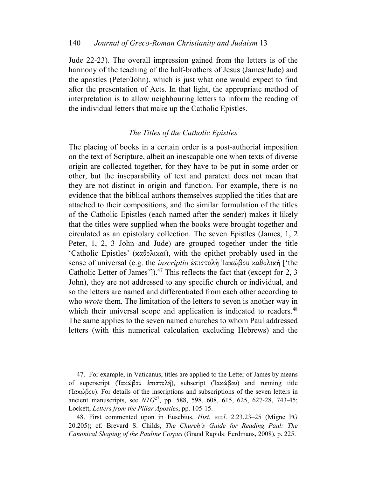Jude 22-23). The overall impression gained from the letters is of the harmony of the teaching of the half-brothers of Jesus (James/Jude) and the apostles (Peter/John), which is just what one would expect to find after the presentation of Acts. In that light, the appropriate method of interpretation is to allow neighbouring letters to inform the reading of the individual letters that make up the Catholic Epistles.

# *The Titles of the Catholic Epistles*

The placing of books in a certain order is a post-authorial imposition on the text of Scripture, albeit an inescapable one when texts of diverse origin are collected together, for they have to be put in some order or other, but the inseparability of text and paratext does not mean that they are not distinct in origin and function. For example, there is no evidence that the biblical authors themselves supplied the titles that are attached to their compositions, and the similar formulation of the titles of the Catholic Epistles (each named after the sender) makes it likely that the titles were supplied when the books were brought together and circulated as an epistolary collection. The seven Epistles (James, 1, 2 Peter, 1, 2, 3 John and Jude) are grouped together under the title 'Catholic Epistles' (καθολικαί), with the epithet probably used in the sense of universal (e.g. the *inscriptio* ἐπιστολὴ Ἰακώβου καθολική ['the Catholic Letter of James']).<sup>47</sup> This reflects the fact that (except for 2, 3 John), they are not addressed to any specific church or individual, and so the letters are named and differentiated from each other according to who *wrote* them. The limitation of the letters to seven is another way in which their universal scope and application is indicated to readers.<sup>48</sup> The same applies to the seven named churches to whom Paul addressed letters (with this numerical calculation excluding Hebrews) and the

47. For example, in Vaticanus, titles are applied to the Letter of James by means of superscript (Ἰακώβου ἐπιστολή), subscript (Ἰακώβου) and running title (Ἰακώβου). For details of the inscriptions and subscriptions of the seven letters in ancient manuscripts, see *NTG*<sup>27</sup>, pp. 588, 598, 608, 615, 625, 627-28, 743-45; Lockett, *Letters from the Pillar Apostles*, pp. 105-15.

48. First commented upon in Eusebius, *Hist. eccl*. 2.23.23–25 (Migne PG 20.205); cf. Brevard S. Childs, *The Church's Guide for Reading Paul: The Canonical Shaping of the Pauline Corpus* (Grand Rapids: Eerdmans, 2008), p. 225.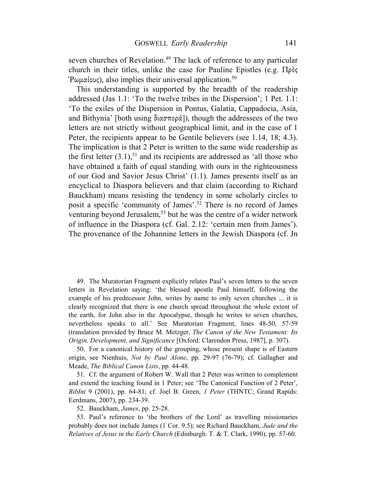seven churches of Revelation.<sup>49</sup> The lack of reference to any particular church in their titles, unlike the case for Pauline Epistles (e.g. Πρὸς  $P\omega\mu\alpha\omega\zeta$ , also implies their universal application.<sup>50</sup>

This understanding is supported by the breadth of the readership addressed (Jas 1.1: 'To the twelve tribes in the Dispersion'; 1 Pet. 1.1: 'To the exiles of the Dispersion in Pontus, Galatia, Cappadocia, Asia, and Bithynia' [both using διασπορά]), though the addressees of the two letters are not strictly without geographical limit, and in the case of 1 Peter, the recipients appear to be Gentile believers (see 1.14, 18; 4.3). The implication is that 2 Peter is written to the same wide readership as the first letter  $(3.1)$ ,<sup>51</sup> and its recipients are addressed as 'all those who have obtained a faith of equal standing with ours in the righteousness of our God and Savior Jesus Christ' (1.1). James presents itself as an encyclical to Diaspora believers and that claim (according to Richard Bauckham) means resisting the tendency in some scholarly circles to posit a specific 'community of James'.<sup>52</sup> There is no record of James venturing beyond Jerusalem,<sup>53</sup> but he was the centre of a wider network of influence in the Diaspora (cf. Gal. 2.12: 'certain men from James'). The provenance of the Johannine letters in the Jewish Diaspora (cf. Jn

49. The Muratorian Fragment explicitly relates Paul's seven letters to the seven letters in Revelation saying: 'the blessed apostle Paul himself, following the example of his predecessor John, writes by name to only seven churches ... it is clearly recognized that there is one church spread throughout the whole extent of the earth, for John also in the Apocalypse, though he writes to seven churches, nevertheless speaks to all.' See Muratorian Fragment, lines 48-50, 57-59 (translation provided by Bruce M. Metzger, *The Canon of the New Testament: Its Origin, Development, and Significance* [Oxford: Clarendon Press, 1987], p. 307).

50. For a canonical history of the grouping, whose present shape is of Eastern origin, see Nienhuis, *Not by Paul Alone*, pp. 29-97 (76-79); cf. Gallagher and Meade, *The Biblical Canon Lists*, pp. 44-48.

51. Cf. the argument of Robert W. Wall that 2 Peter was written to complement and extend the teaching found in 1 Peter; see 'The Canonical Function of 2 Peter', *BibInt* 9 (2001), pp. 64-81; cf. Joel B. Green, *1 Peter* (THNTC; Grand Rapids: Eerdmans, 2007), pp. 234-39.

52. Bauckham, *James*, pp. 25-28.

53. Paul's reference to 'the brothers of the Lord' as travelling missionaries probably does not include James (1 Cor. 9.5); see Richard Bauckham, *Jude and the Relatives of Jesus in the Early Church* (Edinburgh: T. & T. Clark, 1990), pp. 57-60.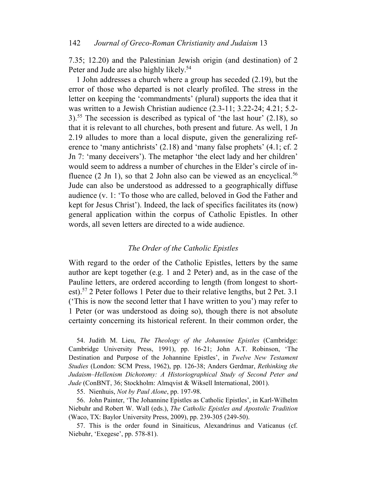7.35; 12.20) and the Palestinian Jewish origin (and destination) of 2 Peter and Jude are also highly likely.<sup>54</sup>

1 John addresses a church where a group has seceded (2.19), but the error of those who departed is not clearly profiled. The stress in the letter on keeping the 'commandments' (plural) supports the idea that it was written to a Jewish Christian audience (2.3-11; 3.22-24; 4.21; 5.2- 3).<sup>55</sup> The secession is described as typical of 'the last hour'  $(2.18)$ , so that it is relevant to all churches, both present and future. As well, 1 Jn 2.19 alludes to more than a local dispute, given the generalizing reference to 'many antichrists' (2.18) and 'many false prophets' (4.1; cf. 2 Jn 7: 'many deceivers'). The metaphor 'the elect lady and her children' would seem to address a number of churches in the Elder's circle of influence  $(2 \text{ Jn 1})$ , so that 2 John also can be viewed as an encyclical.<sup>56</sup> Jude can also be understood as addressed to a geographically diffuse audience (v. 1: 'To those who are called, beloved in God the Father and kept for Jesus Christ'). Indeed, the lack of specifics facilitates its (now) general application within the corpus of Catholic Epistles. In other words, all seven letters are directed to a wide audience.

## *The Order of the Catholic Epistles*

With regard to the order of the Catholic Epistles, letters by the same author are kept together (e.g. 1 and 2 Peter) and, as in the case of the Pauline letters, are ordered according to length (from longest to shortest).<sup>57</sup> 2 Peter follows 1 Peter due to their relative lengths, but 2 Pet. 3.1 ('This is now the second letter that I have written to you') may refer to 1 Peter (or was understood as doing so), though there is not absolute certainty concerning its historical referent. In their common order, the

54. Judith M. Lieu, *The Theology of the Johannine Epistles* (Cambridge: Cambridge University Press, 1991), pp. 16-21; John A.T. Robinson, 'The Destination and Purpose of the Johannine Epistles', in *Twelve New Testament Studies* (London: SCM Press, 1962), pp. 126-38; Anders Gerdmar, *Rethinking the Judaism–Hellenism Dichotomy: A Historiographical Study of Second Peter and Jude* (ConBNT, 36; Stockholm: Almqvist & Wiksell International, 2001).

55. Nienhuis, *Not by Paul Alone*, pp. 197-98.

56. John Painter, 'The Johannine Epistles as Catholic Epistles', in Karl-Wilhelm Niebuhr and Robert W. Wall (eds.), *The Catholic Epistles and Apostolic Tradition* (Waco, TX: Baylor University Press, 2009), pp. 239-305 (249-50).

57. This is the order found in Sinaiticus, Alexandrinus and Vaticanus (cf. Niebuhr, 'Exegese', pp. 578-81).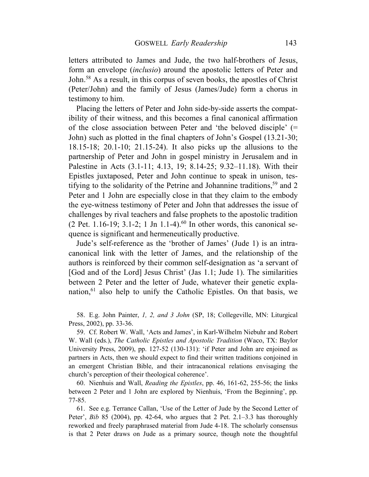letters attributed to James and Jude, the two half-brothers of Jesus, form an envelope (*inclusio*) around the apostolic letters of Peter and John.<sup>58</sup> As a result, in this corpus of seven books, the apostles of Christ (Peter/John) and the family of Jesus (James/Jude) form a chorus in testimony to him.

Placing the letters of Peter and John side-by-side asserts the compatibility of their witness, and this becomes a final canonical affirmation of the close association between Peter and 'the beloved disciple' (= John) such as plotted in the final chapters of John's Gospel (13.21-30; 18.15-18; 20.1-10; 21.15-24). It also picks up the allusions to the partnership of Peter and John in gospel ministry in Jerusalem and in Palestine in Acts (3.1-11; 4.13, 19; 8.14-25; 9.32–11.18). With their Epistles juxtaposed, Peter and John continue to speak in unison, testifying to the solidarity of the Petrine and Johannine traditions,<sup>59</sup> and 2 Peter and 1 John are especially close in that they claim to the embody the eye-witness testimony of Peter and John that addresses the issue of challenges by rival teachers and false prophets to the apostolic tradition  $(2$  Pet. 1.16-19; 3.1-2; 1 Jn 1.1-4).<sup>60</sup> In other words, this canonical sequence is significant and hermeneutically productive.

Jude's self-reference as the 'brother of James' (Jude 1) is an intracanonical link with the letter of James, and the relationship of the authors is reinforced by their common self-designation as 'a servant of [God and of the Lord] Jesus Christ' (Jas 1.1; Jude 1). The similarities between 2 Peter and the letter of Jude, whatever their genetic explanation,<sup>61</sup> also help to unify the Catholic Epistles. On that basis, we

58. E.g. John Painter, *1, 2, and 3 John* (SP, 18; Collegeville, MN: Liturgical Press, 2002), pp. 33-36.

59. Cf. Robert W. Wall, 'Acts and James', in Karl-Wilhelm Niebuhr and Robert W. Wall (eds.), *The Catholic Epistles and Apostolic Tradition* (Waco, TX: Baylor University Press, 2009), pp. 127-52 (130-131): 'if Peter and John are enjoined as partners in Acts, then we should expect to find their written traditions conjoined in an emergent Christian Bible, and their intracanonical relations envisaging the church's perception of their theological coherence'.

60. Nienhuis and Wall, *Reading the Epistles*, pp. 46, 161-62, 255-56; the links between 2 Peter and 1 John are explored by Nienhuis, 'From the Beginning', pp. 77-85.

61. See e.g. Terrance Callan, 'Use of the Letter of Jude by the Second Letter of Peter', *Bib* 85 (2004), pp. 42-64, who argues that 2 Pet. 2.1–3.3 has thoroughly reworked and freely paraphrased material from Jude 4-18. The scholarly consensus is that 2 Peter draws on Jude as a primary source, though note the thoughtful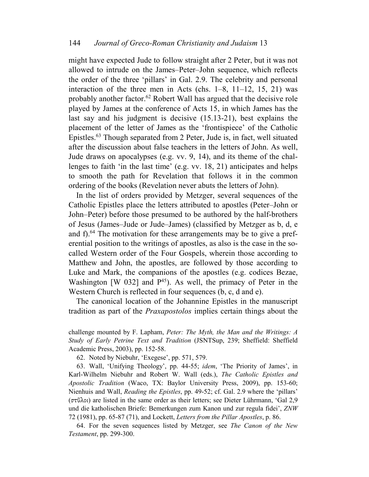might have expected Jude to follow straight after 2 Peter, but it was not allowed to intrude on the James–Peter–John sequence, which reflects the order of the three 'pillars' in Gal. 2.9. The celebrity and personal interaction of the three men in Acts (chs. 1–8, 11–12, 15, 21) was probably another factor.<sup>62</sup> Robert Wall has argued that the decisive role played by James at the conference of Acts 15, in which James has the last say and his judgment is decisive (15.13-21), best explains the placement of the letter of James as the 'frontispiece' of the Catholic Epistles.<sup>63</sup> Though separated from 2 Peter, Jude is, in fact, well situated after the discussion about false teachers in the letters of John. As well, Jude draws on apocalypses (e.g. vv. 9, 14), and its theme of the challenges to faith 'in the last time' (e.g. vv. 18, 21) anticipates and helps to smooth the path for Revelation that follows it in the common ordering of the books (Revelation never abuts the letters of John).

In the list of orders provided by Metzger, several sequences of the Catholic Epistles place the letters attributed to apostles (Peter–John or John–Peter) before those presumed to be authored by the half-brothers of Jesus (James–Jude or Jude–James) (classified by Metzger as b, d, e and  $f$ ).<sup>64</sup> The motivation for these arrangements may be to give a preferential position to the writings of apostles, as also is the case in the socalled Western order of the Four Gospels, wherein those according to Matthew and John, the apostles, are followed by those according to Luke and Mark, the companions of the apostles (e.g. codices Bezae, Washington  $[W 032]$  and  $P^{45}$ ). As well, the primacy of Peter in the Western Church is reflected in four sequences (b, c, d and e).

The canonical location of the Johannine Epistles in the manuscript tradition as part of the *Praxapostolos* implies certain things about the

challenge mounted by F. Lapham, *Peter: The Myth, the Man and the Writings: A Study of Early Petrine Text and Tradition* (JSNTSup, 239; Sheffield: Sheffield Academic Press, 2003), pp. 152-58.

62. Noted by Niebuhr, 'Exegese', pp. 571, 579.

63. Wall, 'Unifying Theology', pp. 44-55; *idem*, 'The Priority of James', in Karl-Wilhelm Niebuhr and Robert W. Wall (eds.), *The Catholic Epistles and Apostolic Tradition* (Waco, TX: Baylor University Press, 2009), pp. 153-60; Nienhuis and Wall, *Reading the Epistles*, pp. 49-52; cf. Gal. 2.9 where the 'pillars' (στῦλοι) are listed in the same order as their letters; see Dieter Lührmann, 'Gal 2,9 und die katholischen Briefe: Bemerkungen zum Kanon und zur regula fidei', *ZNW* 72 (1981), pp. 65-87 (71), and Lockett, *Letters from the Pillar Apostles*, p. 86.

64. For the seven sequences listed by Metzger, see *The Canon of the New Testament*, pp. 299-300.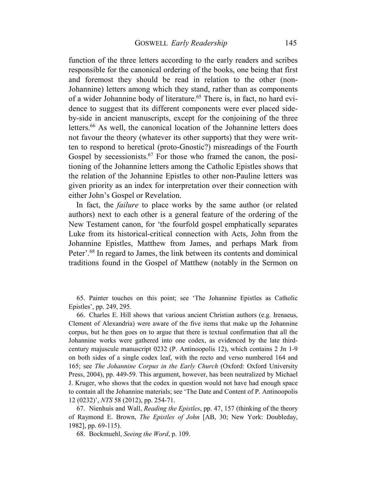function of the three letters according to the early readers and scribes responsible for the canonical ordering of the books, one being that first and foremost they should be read in relation to the other (non-Johannine) letters among which they stand, rather than as components of a wider Johannine body of literature.<sup>65</sup> There is, in fact, no hard evidence to suggest that its different components were ever placed sideby-side in ancient manuscripts, except for the conjoining of the three letters.<sup>66</sup> As well, the canonical location of the Johannine letters does not favour the theory (whatever its other supports) that they were written to respond to heretical (proto-Gnostic?) misreadings of the Fourth Gospel by secessionists.<sup>67</sup> For those who framed the canon, the positioning of the Johannine letters among the Catholic Epistles shows that the relation of the Johannine Epistles to other non-Pauline letters was given priority as an index for interpretation over their connection with either John's Gospel or Revelation.

In fact, the *failure* to place works by the same author (or related authors) next to each other is a general feature of the ordering of the New Testament canon, for 'the fourfold gospel emphatically separates Luke from its historical-critical connection with Acts, John from the Johannine Epistles, Matthew from James, and perhaps Mark from Peter'.<sup>68</sup> In regard to James, the link between its contents and dominical traditions found in the Gospel of Matthew (notably in the Sermon on

65. Painter touches on this point; see 'The Johannine Epistles as Catholic Epistles', pp. 249, 295.

66. Charles E. Hill shows that various ancient Christian authors (e.g. Irenaeus, Clement of Alexandria) were aware of the five items that make up the Johannine corpus, but he then goes on to argue that there is textual confirmation that all the Johannine works were gathered into one codex, as evidenced by the late thirdcentury majuscule manuscript 0232 (P. Antinoopolis 12), which contains 2 Jn 1-9 on both sides of a single codex leaf, with the recto and verso numbered 164 and 165; see *The Johannine Corpus in the Early Church* (Oxford: Oxford University Press, 2004), pp. 449-59. This argument, however, has been neutralized by Michael J. Kruger, who shows that the codex in question would not have had enough space to contain all the Johannine materials; see 'The Date and Content of P. Antinoopolis 12 (0232)', *NTS* 58 (2012), pp. 254-71.

67. Nienhuis and Wall, *Reading the Epistles*, pp. 47, 157 (thinking of the theory of Raymond E. Brown, *The Epistles of John* [AB, 30; New York: Doubleday, 1982], pp. 69-115).

68. Bockmuehl, *Seeing the Word*, p. 109.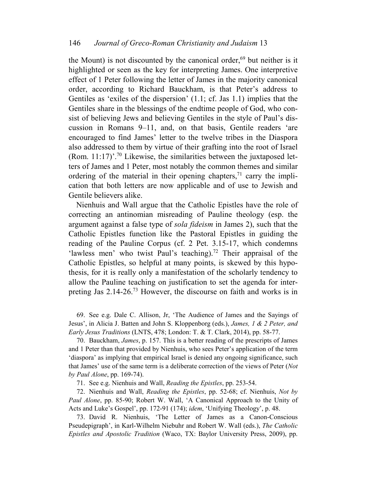the Mount) is not discounted by the canonical order, $69$  but neither is it highlighted or seen as the key for interpreting James. One interpretive effect of 1 Peter following the letter of James in the majority canonical order, according to Richard Bauckham, is that Peter's address to Gentiles as 'exiles of the dispersion' (1.1; cf. Jas 1.1) implies that the Gentiles share in the blessings of the endtime people of God, who consist of believing Jews and believing Gentiles in the style of Paul's discussion in Romans 9–11, and, on that basis, Gentile readers 'are encouraged to find James' letter to the twelve tribes in the Diaspora also addressed to them by virtue of their grafting into the root of Israel (Rom.  $11:17$ )<sup>'.70</sup> Likewise, the similarities between the juxtaposed letters of James and 1 Peter, most notably the common themes and similar ordering of the material in their opening chapters, $71$  carry the implication that both letters are now applicable and of use to Jewish and Gentile believers alike.

Nienhuis and Wall argue that the Catholic Epistles have the role of correcting an antinomian misreading of Pauline theology (esp. the argument against a false type of *sola fideism* in James 2), such that the Catholic Epistles function like the Pastoral Epistles in guiding the reading of the Pauline Corpus (cf. 2 Pet. 3.15-17, which condemns 'lawless men' who twist Paul's teaching).<sup>72</sup> Their appraisal of the Catholic Epistles, so helpful at many points, is skewed by this hypothesis, for it is really only a manifestation of the scholarly tendency to allow the Pauline teaching on justification to set the agenda for interpreting Jas 2.14-26.<sup>73</sup> However, the discourse on faith and works is in

69. See e.g. Dale C. Allison, Jr, 'The Audience of James and the Sayings of Jesus', in Alicia J. Batten and John S. Kloppenborg (eds.), *James, 1 & 2 Peter, and Early Jesus Traditions* (LNTS, 478; London: T. & T. Clark, 2014), pp. 58-77.

70. Bauckham, *James*, p. 157. This is a better reading of the prescripts of James and 1 Peter than that provided by Nienhuis, who sees Peter's application of the term 'diaspora' as implying that empirical Israel is denied any ongoing significance, such that James' use of the same term is a deliberate correction of the views of Peter (*Not by Paul Alone*, pp. 169-74).

71. See e.g. Nienhuis and Wall, *Reading the Epistles*, pp. 253-54.

72. Nienhuis and Wall, *Reading the Epistles*, pp. 52-68; cf. Nienhuis, *Not by Paul Alone*, pp. 85-90; Robert W. Wall, 'A Canonical Approach to the Unity of Acts and Luke's Gospel', pp. 172-91 (174); *idem*, 'Unifying Theology', p. 48.

73. David R. Nienhuis, 'The Letter of James as a Canon-Conscious Pseudepigraph', in Karl-Wilhelm Niebuhr and Robert W. Wall (eds.), *The Catholic Epistles and Apostolic Tradition* (Waco, TX: Baylor University Press, 2009), pp.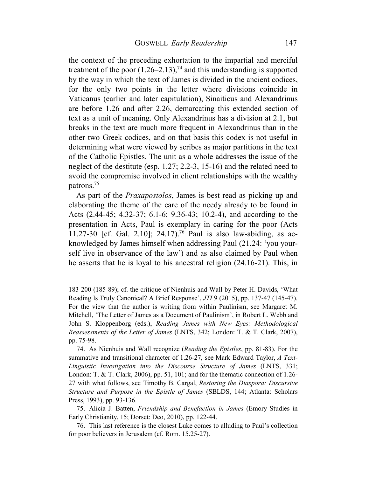the context of the preceding exhortation to the impartial and merciful treatment of the poor  $(1.26-2.13)$ ,<sup>74</sup> and this understanding is supported by the way in which the text of James is divided in the ancient codices, for the only two points in the letter where divisions coincide in Vaticanus (earlier and later capitulation), Sinaiticus and Alexandrinus are before 1.26 and after 2.26, demarcating this extended section of text as a unit of meaning. Only Alexandrinus has a division at 2.1, but breaks in the text are much more frequent in Alexandrinus than in the other two Greek codices, and on that basis this codex is not useful in determining what were viewed by scribes as major partitions in the text of the Catholic Epistles. The unit as a whole addresses the issue of the neglect of the destitute (esp. 1.27; 2.2-3, 15-16) and the related need to avoid the compromise involved in client relationships with the wealthy patrons.<sup>75</sup>

As part of the *Praxapostolos*, James is best read as picking up and elaborating the theme of the care of the needy already to be found in Acts (2.44-45; 4.32-37; 6.1-6; 9.36-43; 10.2-4), and according to the presentation in Acts, Paul is exemplary in caring for the poor (Acts 11.27-30 [cf. Gal. 2.10]; 24.17).<sup>76</sup> Paul is also law-abiding, as acknowledged by James himself when addressing Paul (21.24: 'you yourself live in observance of the law') and as also claimed by Paul when he asserts that he is loyal to his ancestral religion (24.16-21). This, in

183-200 (185-89); cf. the critique of Nienhuis and Wall by Peter H. Davids, 'What Reading Is Truly Canonical? A Brief Response', *JTI* 9 (2015), pp. 137-47 (145-47). For the view that the author is writing from within Paulinism, see Margaret M. Mitchell, 'The Letter of James as a Document of Paulinism', in Robert L. Webb and John S. Kloppenborg (eds.), *Reading James with New Eyes: Methodological Reassessments of the Letter of James* (LNTS, 342; London: T. & T. Clark, 2007), pp. 75-98.

74. As Nienhuis and Wall recognize (*Reading the Epistles*, pp. 81-83). For the summative and transitional character of 1.26-27, see Mark Edward Taylor, *A Text-Linguistic Investigation into the Discourse Structure of James* (LNTS, 331; London: T. & T. Clark, 2006), pp. 51, 101; and for the thematic connection of 1.26- 27 with what follows, see Timothy B. Cargal, *Restoring the Diaspora: Discursive Structure and Purpose in the Epistle of James* (SBLDS, 144; Atlanta: Scholars Press, 1993), pp. 93-136.

75. Alicia J. Batten, *Friendship and Benefaction in James* (Emory Studies in Early Christianity, 15; Dorset: Deo, 2010), pp. 122-44.

76. This last reference is the closest Luke comes to alluding to Paul's collection for poor believers in Jerusalem (cf. Rom. 15.25-27).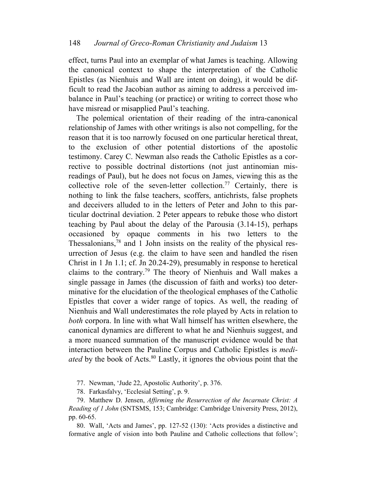effect, turns Paul into an exemplar of what James is teaching. Allowing the canonical context to shape the interpretation of the Catholic Epistles (as Nienhuis and Wall are intent on doing), it would be difficult to read the Jacobian author as aiming to address a perceived imbalance in Paul's teaching (or practice) or writing to correct those who have misread or misapplied Paul's teaching.

The polemical orientation of their reading of the intra-canonical relationship of James with other writings is also not compelling, for the reason that it is too narrowly focused on one particular heretical threat, to the exclusion of other potential distortions of the apostolic testimony. Carey C. Newman also reads the Catholic Epistles as a corrective to possible doctrinal distortions (not just antinomian misreadings of Paul), but he does not focus on James, viewing this as the collective role of the seven-letter collection.<sup>77</sup> Certainly, there is nothing to link the false teachers, scoffers, antichrists, false prophets and deceivers alluded to in the letters of Peter and John to this particular doctrinal deviation. 2 Peter appears to rebuke those who distort teaching by Paul about the delay of the Parousia (3.14-15), perhaps occasioned by opaque comments in his two letters to the Thessalonians, $78$  and 1 John insists on the reality of the physical resurrection of Jesus (e.g. the claim to have seen and handled the risen Christ in 1 Jn 1.1; cf. Jn 20.24-29), presumably in response to heretical claims to the contrary.<sup>79</sup> The theory of Nienhuis and Wall makes a single passage in James (the discussion of faith and works) too determinative for the elucidation of the theological emphases of the Catholic Epistles that cover a wider range of topics. As well, the reading of Nienhuis and Wall underestimates the role played by Acts in relation to *both* corpora. In line with what Wall himself has written elsewhere, the canonical dynamics are different to what he and Nienhuis suggest, and a more nuanced summation of the manuscript evidence would be that interaction between the Pauline Corpus and Catholic Epistles is *mediated* by the book of Acts.<sup>80</sup> Lastly, it ignores the obvious point that the

77. Newman, 'Jude 22, Apostolic Authority', p. 376.

78. Farkasfalvy, 'Ecclesial Setting', p. 9.

79. Matthew D. Jensen, *Affirming the Resurrection of the Incarnate Christ: A Reading of 1 John* (SNTSMS, 153; Cambridge: Cambridge University Press, 2012), pp. 60-65.

80. Wall, 'Acts and James', pp. 127-52 (130): 'Acts provides a distinctive and formative angle of vision into both Pauline and Catholic collections that follow';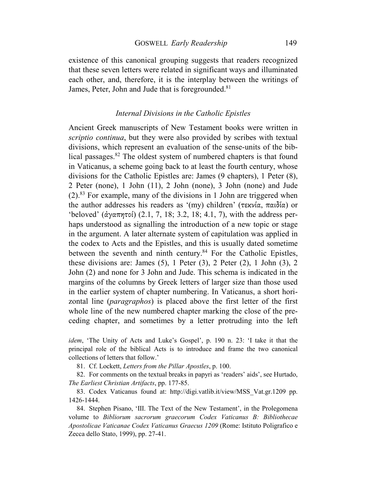existence of this canonical grouping suggests that readers recognized that these seven letters were related in significant ways and illuminated each other, and, therefore, it is the interplay between the writings of James, Peter, John and Jude that is foregrounded.<sup>81</sup>

# *Internal Divisions in the Catholic Epistles*

Ancient Greek manuscripts of New Testament books were written in *scriptio continua*, but they were also provided by scribes with textual divisions, which represent an evaluation of the sense-units of the biblical passages.<sup>82</sup> The oldest system of numbered chapters is that found in Vaticanus, a scheme going back to at least the fourth century, whose divisions for the Catholic Epistles are: James (9 chapters), 1 Peter (8), 2 Peter (none), 1 John (11), 2 John (none), 3 John (none) and Jude  $(2)$ .<sup>83</sup> For example, many of the divisions in 1 John are triggered when the author addresses his readers as '(my) children' (τεκνία, παιδία) or 'beloved' (ἀγαπητοί) (2.1, 7, 18; 3.2, 18; 4.1, 7), with the address perhaps understood as signalling the introduction of a new topic or stage in the argument. A later alternate system of capitulation was applied in the codex to Acts and the Epistles, and this is usually dated sometime between the seventh and ninth century.<sup>84</sup> For the Catholic Epistles, these divisions are: James  $(5)$ , 1 Peter  $(3)$ , 2 Peter  $(2)$ , 1 John  $(3)$ , 2 John (2) and none for 3 John and Jude. This schema is indicated in the margins of the columns by Greek letters of larger size than those used in the earlier system of chapter numbering. In Vaticanus, a short horizontal line (*paragraphos*) is placed above the first letter of the first whole line of the new numbered chapter marking the close of the preceding chapter, and sometimes by a letter protruding into the left

*idem*, 'The Unity of Acts and Luke's Gospel', p. 190 n. 23: 'I take it that the principal role of the biblical Acts is to introduce and frame the two canonical collections of letters that follow.'

81. Cf. Lockett, *Letters from the Pillar Apostles*, p. 100.

82. For comments on the textual breaks in papyri as 'readers' aids', see Hurtado, *The Earliest Christian Artifacts*, pp. 177-85.

83. Codex Vaticanus found at: http://digi.vatlib.it/view/MSS\_Vat.gr.1209 pp. 1426-1444.

84. Stephen Pisano, 'III. The Text of the New Testament', in the Prolegomena volume to *Bibliorum sacrorum graecorum Codex Vaticanus B: Bibliothecae Apostolicae Vaticanae Codex Vaticanus Graecus 1209* (Rome: Istituto Poligrafico e Zecca dello Stato, 1999), pp. 27-41.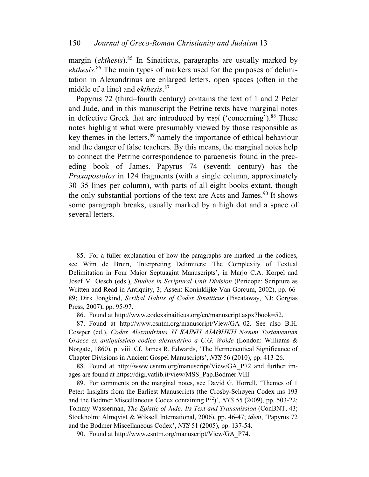### 150 *Journal of Greco-Roman Christianity and Judaism* 13

margin (*ekthesis*).<sup>85</sup> In Sinaiticus, paragraphs are usually marked by *ekthesis*. 86 The main types of markers used for the purposes of delimitation in Alexandrinus are enlarged letters, open spaces (often in the middle of a line) and *ekthesis*. 87

Papyrus 72 (third–fourth century) contains the text of 1 and 2 Peter and Jude, and in this manuscript the Petrine texts have marginal notes in defective Greek that are introduced by περί ('concerning').<sup>88</sup> These notes highlight what were presumably viewed by those responsible as key themes in the letters,<sup>89</sup> namely the importance of ethical behaviour and the danger of false teachers. By this means, the marginal notes help to connect the Petrine correspondence to paraenesis found in the preceding book of James. Papyrus 74 (seventh century) has the *Praxapostolos* in 124 fragments (with a single column, approximately 30–35 lines per column), with parts of all eight books extant, though the only substantial portions of the text are Acts and James.<sup>90</sup> It shows some paragraph breaks, usually marked by a high dot and a space of several letters.

85. For a fuller explanation of how the paragraphs are marked in the codices, see Wim de Bruin, 'Interpreting Delimiters: The Complexity of Textual Delimitation in Four Major Septuagint Manuscripts', in Marjo C.A. Korpel and Josef M. Oesch (eds.), *Studies in Scriptural Unit Division* (Pericope: Scripture as Written and Read in Antiquity, 3; Assen: Koninklijke Van Gorcum, 2002), pp. 66- 89; Dirk Jongkind, *Scribal Habits of Codex Sinaiticus* (Piscataway, NJ: Gorgias Press, 2007), pp. 95-97.

86. Found at http://www.codexsinaiticus.org/en/manuscript.aspx?book=52.

87. Found at http://www.csntm.org/manuscript/View/GA\_02. See also B.H. Cowper (ed.), *Codex Alexandrinus* <sup>Η</sup> ΚΑΙΝΗ ∆ΙΑΘΗΚΗ *Novum Testamentum Graece ex antiquissimo codice alexandrino a C.G. Woide* (London: Williams & Norgate, 1860), p. viii. Cf. James R. Edwards, 'The Hermeneutical Significance of Chapter Divisions in Ancient Gospel Manuscripts', *NTS* 56 (2010), pp. 413-26.

88. Found at http://www.csntm.org/manuscript/View/GA\_P72 and further images are found at https://digi.vatlib.it/view/MSS\_Pap.Bodmer.VIII

89. For comments on the marginal notes, see David G. Horrell, 'Themes of 1 Peter: Insights from the Earliest Manuscripts (the Crosby-Schøyen Codex ms 193 and the Bodmer Miscellaneous Codex containing P<sup>72</sup>)', *NTS* 55 (2009), pp. 503-22; Tommy Wasserman, *The Epistle of Jude: Its Text and Transmission* (ConBNT, 43; Stockholm: Almqvist & Wiksell International, 2006), pp. 46-47; *idem*, 'Papyrus 72 and the Bodmer Miscellaneous Codex', *NTS* 51 (2005), pp. 137-54.

90. Found at http://www.csntm.org/manuscript/View/GA\_P74.